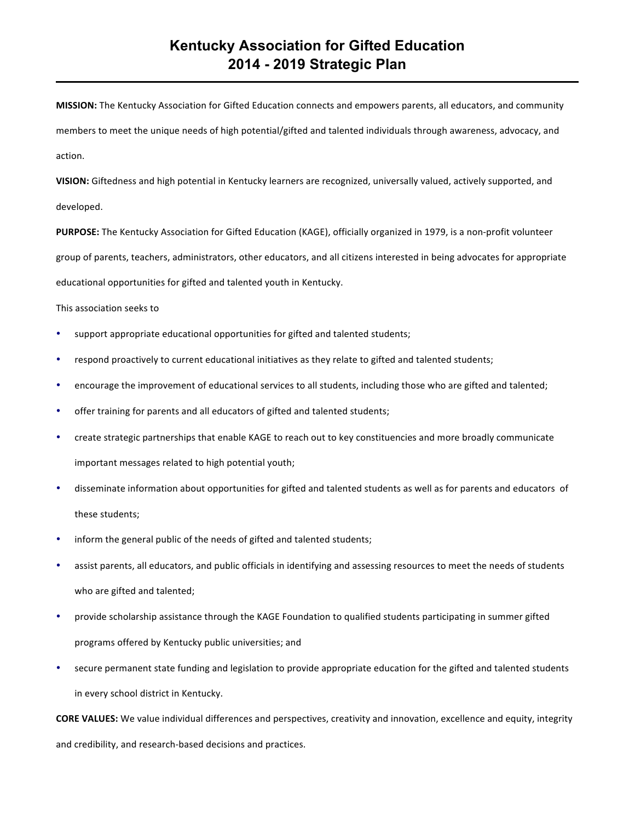**MISSION:** The Kentucky Association for Gifted Education connects and empowers parents, all educators, and community members to meet the unique needs of high potential/gifted and talented individuals through awareness, advocacy, and action.

**VISION:** Giftedness and high potential in Kentucky learners are recognized, universally valued, actively supported, and developed.

**PURPOSE:** The Kentucky Association for Gifted Education (KAGE), officially organized in 1979, is a non-profit volunteer group of parents, teachers, administrators, other educators, and all citizens interested in being advocates for appropriate educational opportunities for gifted and talented youth in Kentucky.

#### This association seeks to

- support appropriate educational opportunities for gifted and talented students;
- respond proactively to current educational initiatives as they relate to gifted and talented students;
- encourage the improvement of educational services to all students, including those who are gifted and talented;
- offer training for parents and all educators of gifted and talented students;
- create strategic partnerships that enable KAGE to reach out to key constituencies and more broadly communicate important messages related to high potential youth;
- disseminate information about opportunities for gifted and talented students as well as for parents and educators of these students;
- inform the general public of the needs of gifted and talented students;
- assist parents, all educators, and public officials in identifying and assessing resources to meet the needs of students who are gifted and talented;
- provide scholarship assistance through the KAGE Foundation to qualified students participating in summer gifted programs offered by Kentucky public universities; and
- secure permanent state funding and legislation to provide appropriate education for the gifted and talented students in every school district in Kentucky.

**CORE VALUES:** We value individual differences and perspectives, creativity and innovation, excellence and equity, integrity and credibility, and research-based decisions and practices.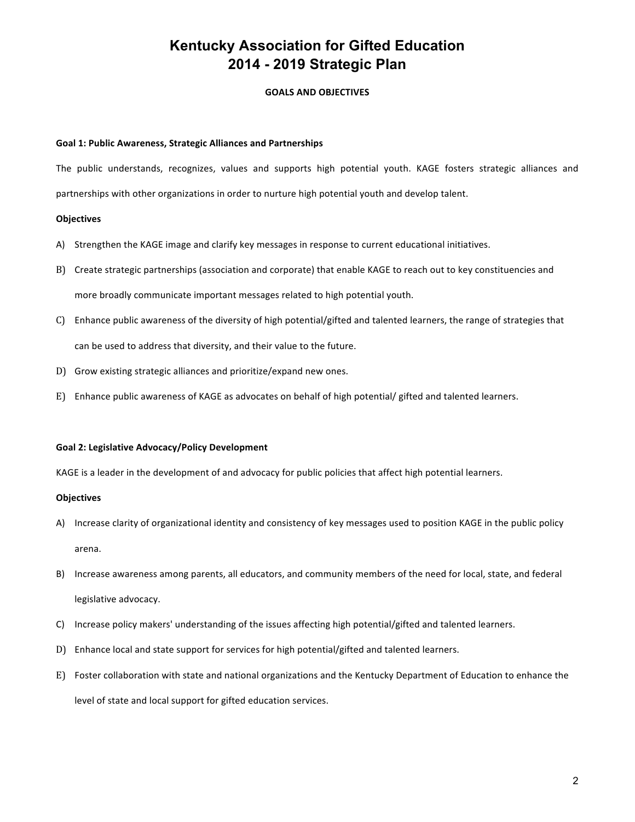# **Kentucky Association for Gifted Education 2014 - 2019 Strategic Plan**

## **GOALS AND OBJECTIVES**

#### **Goal 1: Public Awareness, Strategic Alliances and Partnerships**

The public understands, recognizes, values and supports high potential youth. KAGE fosters strategic alliances and partnerships with other organizations in order to nurture high potential youth and develop talent.

#### **Objectives**

- A) Strengthen the KAGE image and clarify key messages in response to current educational initiatives.
- B) Create strategic partnerships (association and corporate) that enable KAGE to reach out to key constituencies and more broadly communicate important messages related to high potential youth.
- C) Enhance public awareness of the diversity of high potential/gifted and talented learners, the range of strategies that can be used to address that diversity, and their value to the future.
- D) Grow existing strategic alliances and prioritize/expand new ones.
- E) Enhance public awareness of KAGE as advocates on behalf of high potential/ gifted and talented learners.

#### Goal 2: Legislative Advocacy/Policy Development

KAGE is a leader in the development of and advocacy for public policies that affect high potential learners.

#### **Objectives**

- A) Increase clarity of organizational identity and consistency of key messages used to position KAGE in the public policy arena.
- B) Increase awareness among parents, all educators, and community members of the need for local, state, and federal legislative advocacy.
- C) Increase policy makers' understanding of the issues affecting high potential/gifted and talented learners.
- D) Enhance local and state support for services for high potential/gifted and talented learners.
- E) Foster collaboration with state and national organizations and the Kentucky Department of Education to enhance the level of state and local support for gifted education services.